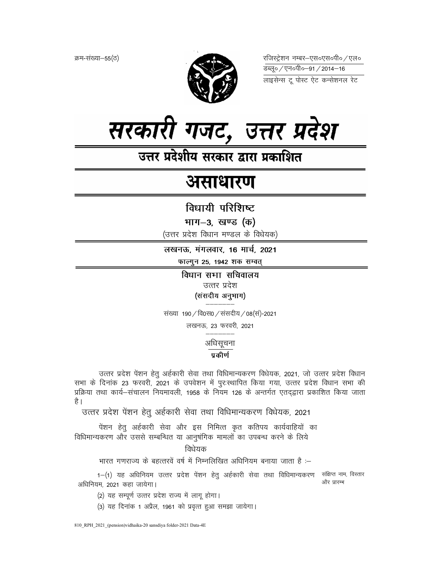क्रम-संख्या-55(ठ)



रजिस्ट्रेशन नम्बर–एस०एस०पी० ⁄ एल० लाइसेन्स टू पोस्ट ऐट कन्सेशनल रेट



उत्तर प्रदेशीय सरकार द्वारा प्रकाशित

# असाधारण

विधायी परिशिष्ट

भाग–3, खण्ड (क)

(उत्तर प्रदेश विधान मण्डल के विधेयक)

लखनऊ, मंगलवार, 16 मार्च, 2021 फाल्गुन 25, 1942 शक सम्वत्

> विधान सभा सचिवालय उत्तर प्रदेश (संसदीय अनुभाग)

संख्या 190 / वि0स0 / संसदीय / 08(सं)-2021

लखनऊ, 23 फरवरी, 2021

अधिसूचना

प्रकीर्ण

उत्तर प्रदेश पेंशन हेतु अर्हकारी सेवा तथा विधिमान्यकरण विधेयक, 2021, जो उत्तर प्रदेश विधान सभा के दिनांक 23 फरवरी, 2021 के उपवेशन में पुरःस्थापित किया गया, उत्तर प्रदेश विधान सभा की प्रक्रिया तथा कार्य-संचालन नियमावली, 1958 के नियम 126 के अन्तर्गत एतद्द्वारा प्रकाशित किया जाता है ।

उत्तर प्रदेश पेंशन हेतु अर्हकारी सेवा तथा विधिमान्यकरण विधेयक, 2021

पेंशन हेतु अर्हकारी सेवा और इस निमित्त कृत कतिपय कार्यवाहियों का विधिमान्यकरण और उससे सम्बन्धित या आनुषंगिक मामलों का उपबन्ध करने के लिये

विधेयक

भारत गणराज्य के बहत्तरवें वर्ष में निम्नलिखित अधिनियम बनाया जाता है :-

1-(1) यह अधिनियम उत्तर प्रदेश पेंशन हेतु अर्हकारी सेवा तथा विधिमान्यकरण संक्षिप्त नाम, विस्तार और प्रारम्भ अधिनियम. 2021 कहा जायेगा।

(2) यह सम्पूर्ण उत्तर प्रदेश राज्य में लागू होगा।

(3) यह दिनांक 1 अप्रैल, 1961 को प्रवृत्त हुआ समझा जायेगा।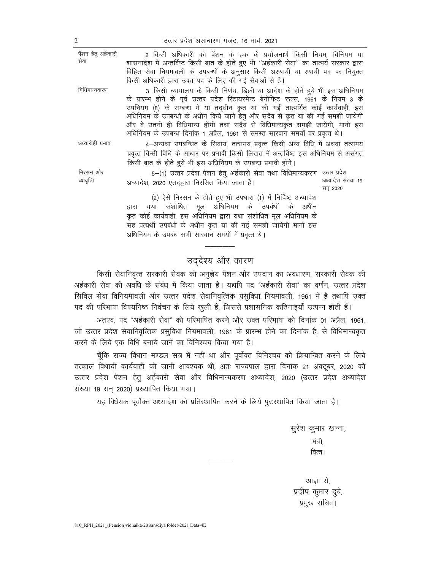810 RPH 2021 (Pension) vidhaika-20 sansdiva folder-2021 Data-4E

2–किसी अधिकारी को पेंशन के हक के प्रयोजनार्थ किसी नियम, विनियम या शासनादेश में अन्तर्विष्ट किसी बात के होते हुए भी "अर्हकारी सेवा" का तात्पर्य सरकार द्वारा विहित सेवा नियमावली के उपबन्धों के अनुसार किसी अस्थायी या स्थायी पद पर नियुक्त किसी अधिकारी द्वारा उक्त पद के लिए की गई सेवाओं से है। 3–किसी न्यायालय के किसी निर्णय, डिक्री या आदेश के होते हुये भी इस अधिनियम के प्रारम्भ होने के पूर्व उत्तर प्रदेश रिटायरमेन्ट बेनीफिट रूल्स, 1961 के नियम 3 के उपनियम (8) के सम्बन्ध में या तदधीन कृत या की गई तात्पर्यित कोई कार्यवाही, इस अधिनियम के उपबन्धों के अधीन किये जाने हेतु और सदैव से कृत या की गई समझी जायेगी और वे उतनी ही विधिमान्य होंगी तथा सदैव से विधिमान्यकृत समझी जायेंगी, मानो इस अधिनियम के उपबन्ध दिनांक 1 अप्रैल, 1961 से समस्त सारवान समयों पर प्रवृत्त थे। अध्यारोही प्रभाव 4-अन्यथा उपबन्धित के सिवाय, तत्समय प्रवृत्त किसी अन्य विधि में अथवा तत्समय

प्रवृत्त किसी विधि के आधार पर प्रभावी किसी लिखत में अन्तर्विष्ट इस अधिनियम से असंगत किसी बात के होते हुये भी इस अधिनियम के उपबन्ध प्रभावी होंगे।

5–(1) उत्तर प्रदेश पेंशन हेतु अर्हकारी सेवा तथा विधिमान्यकरण <sup>उत्तर प्रदेश</sup> अध्यादेश संख्या 19 अध्यादेश, 2020 एतद्द्वारा निरसित किया जाता है। सन 2020

(2) ऐसे निरसन के होते हुए भी उपधारा (1) में निर्दिष्ट अध्यादेश द्वारा यथा संशोधित मूल अधिनियम के उपबंधों के अधीन कृत कोई कार्यवाही, इस अधिनियम द्वारा यथा संशोधित मूल अधिनियम के सह प्रत्यर्थी उपबंधों के अधीन कृत या की गई समझी जायेगी मानो इस अधिनियम के उपबंध सभी सारवान समयों में प्रवृत्त थे।

## उद्देश्य और कारण

किसी सेवानिवृत्त सरकारी सेवक को अनुज्ञेय पेंशन और उपदान का अवधारण, सरकारी सेवक की अर्हकारी सेवा की अवधि के संबंध में किया जाता है। यद्यपि पद "अर्हकारी सेवा" का वर्णन, उत्तर प्रदेश सिविल सेवा विनियमावली और उत्तर प्रदेश सेवानिवृत्तिक प्रसुविधा नियमावली, 1961 में है तथापि उक्त पद की परिभाषा विषयनिष्ठ निर्वचन के लिये खुली है, जिससे प्रशासनिक कठिनाइयाँ उत्पन्न होती हैं।

अतएव, पद "अर्हकारी सेवा" को परिभाषित करने और उक्त परिभाषा को दिनांक 01 अप्रैल, 1961, जो उत्तर प्रदेश सेवानिवृत्तिक प्रसुविधा नियमावली, 1961 के प्रारम्भ होने का दिनांक है, से विधिमान्यकृत करने के लिये एक विधि बनाये जाने का विनिश्चय किया गया है।

चूँकि राज्य विधान मण्डल सत्र में नहीं था और पूर्वोक्त विनिश्चय को क्रियान्वित करने के लिये तत्काल विधायी कार्यवाही की जानी आवश्यक थी, अतः राज्यपाल द्वारा दिनांक 21 अक्टूबर, 2020 को उत्तर प्रदेश पेंशन हेतु अर्हकारी सेवा और विधिमान्यकरण अध्यादेश, 2020 (उत्तर प्रदेश अध्यादेश संख्या 19 सन 2020) प्रख्यापित किया गया।

यह विधेयक पूर्वोक्त अध्यादेश को प्रतिस्थापित करने के लिये पुरःस्थापित किया जाता है।

सुरेश कुमार खन्ना, मंत्री, वित्त ।

आज्ञा से, प्रदीप कुमार दुबे, प्रमुख सचिव।

निरसन और व्यावृत्ति

पेंशन हेतू अर्हकारी सेवा

विधिमान्यकरण

उत्तर प्रदेश असाधारण गजट. 16 मार्च. 2021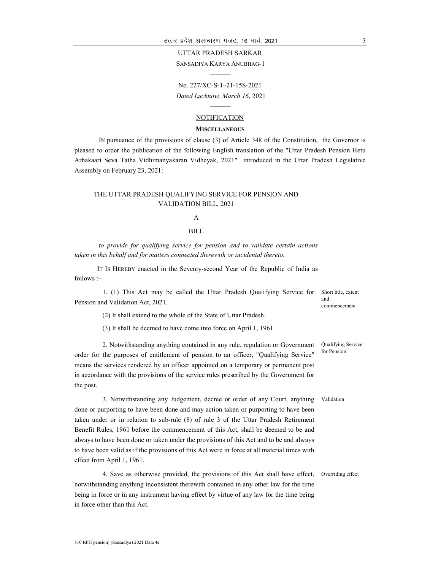#### UTTAR PRADESH SARKAR

SANSADIYA KARYA ANUBHAG-1 ———

No. 227/XC-S-1–21-15S-2021 Dated Lucknow, March 16, 2021

#### ——— NOTIFICATION

#### **MISCELLANEOUS**

IN pursuance of the provisions of clause (3) of Article 348 of the Constitution, the Governor is pleased to order the publication of the following English translation of the "Uttar Pradesh Pension Hetu Arhakaari Seva Tatha Vidhimanyakaran Vidheyak, 2021" introduced in the Uttar Pradesh Legislative Assembly on February 23, 2021:

#### THE UTTAR PRADESH QUALIFYING SERVICE FOR PENSION AND VALIDATION BILL, 2021

#### A

#### BILL

to provide for qualifying service for pension and to validate certain actions taken in this behalf and for matters connected therewith or incidental thereto.

IT IS HEREBY enacted in the Seventy-second Year of the Republic of India as follows :–

1. (1) This Act may be called the Uttar Pradesh Qualifying Service for Pension and Validation Act, 2021. Short title, extent and

(2) It shall extend to the whole of the State of Uttar Pradesh.

(3) It shall be deemed to have come into force on April 1, 1961.

2. Notwithstanding anything contained in any rule, regulation or Government order for the purposes of entitlement of pension to an officer, "Qualifying Service" means the services rendered by an officer appointed on a temporary or permanent post in accordance with the provisions of the service rules prescribed by the Government for the post.

3. Notwithstanding any Judgement, decree or order of any Court, anything done or purporting to have been done and may action taken or purporting to have been taken under or in relation to sub-rule (8) of rule 3 of the Uttar Pradesh Retirement Benefit Rules, 1961 before the commencement of this Act, shall be deemed to be and always to have been done or taken under the provisions of this Act and to be and always to have been valid as if the provisions of this Act were in force at all material times with effect from April 1, 1961.

4. Save as otherwise provided, the provisions of this Act shall have effect, notwithstanding anything inconsistent therewith contained in any other law for the time being in force or in any instrument having effect by virtue of any law for the time being in force other than this Act. Overriding effect

commencement

Qualifying Service for Pension

Validation